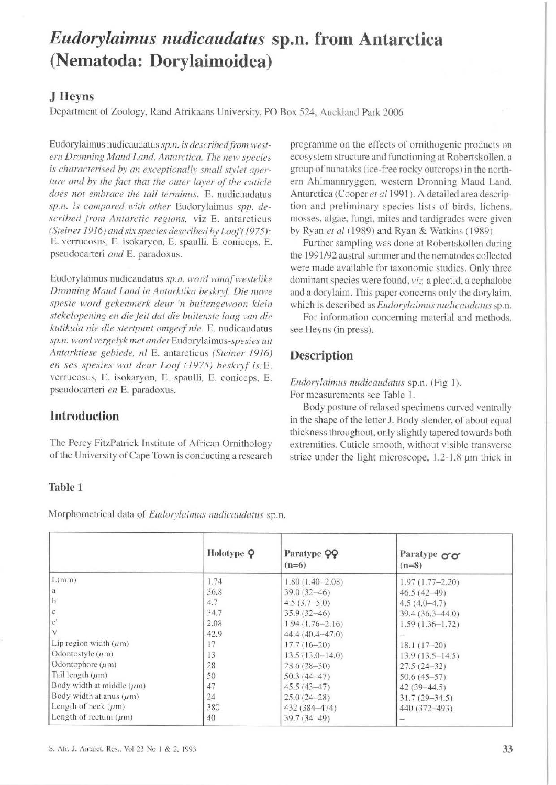# *Eudorylaimus nudicaudatus* **sp.n. from Antarctica (Nematoda: Dorylaimoidea)**

## **J Heyns**

Department of Zoology. Rand Afrikaans University, PO Box 524, Auckland Park 2006

Eudorylaimus nudicaudatus sp.n. is described from west*ern Dronning Maud Land, Antarctica. The new species* is characterised by an exceptionally small stylet aper*ture and by the fact that the outer layer of the cuticle does not embrace the tail terminus.* E. nudicaudatus *sp.n. is compared with other* Eudorylaimus *spp. described .fi·om Antarcric regions,* viz E. antarcticus *(Steiner* 1916) *and six species described by loof(* 1975): E. verrucosus, E. isokaryon, E. spaulli, E. coniceps, E. pseudocarteri *and* E. paradoxus.

Eudorylaimus nudicaudatus sp.n. word vanaf westelike Dronning Maud Land in Antarktika beskryf. Die nuwe spesie word gekenmerk deur 'n buitengewoon klein *stekelopening en die feit dat die huitenste /aag van die kutikula nie die stertpunl omgeef nie.* E. nudicaudatus *sp.n. word 1•ergelyk met muter* Eudorylaimus-spesies *uit Antarktiese gebiede. 11/* E. antarcticus *(Steiner* 1916) *en ses spesies wat deur Loof (1975) beskryf is:E.* verrucosus, E. isokaryon, E. spaulli, E. coniceps, E. pseudocarteri *en* E. paradoxus.

programme on the effects of ornithogenic products on ecosystem structure and functioning at Robertskollen, a group of nunataks (ice-free rocky outcrops) in the northern Ahlmanmyggen. western Dronning Maud Land. Antarctica (Cooper et al 1991). A detailed area description and preliminary species lists of birds. lichens. mosses. algae, fungi, mites and tardigrades were given by Ryan *et al* (1989) and Ryan & Watkins (1989).

Further sampling was done at Robertskollen during the 1991/92 austral summer and the nematodes collected were made available for taxonomic studies. Only three dominant species were found,  $viz$  a plectid, a cephalobe and a dorylaim. This paper concerns only the dorylaim. which is described as *Eudorylaimus nudicaudatus* sp.n.

For information concerning material and methods. see Heyns (in press).

## **Description**

*Eudorylaimus nudicaudatus* sp.n. (Fig 1 ). For measurements see Table J.

Body posture of relaxed specimens curved ventrally in the shape of the letter J. Body slender. of about equal thickness throughout. only slightly tapered towards both extremities. Cuticle smooth, without visible transverse striae under the light microscope, 1.2-1.8 µm thick in

# **Introduction**

The Percy FitzPatrick Institute of African Ornithology of the University of Cape Town is conducting a research

#### **Table 1**

Morphometrical data of *Eudorylaimus nudicaudatus* sp.n.

|                                | Holotype Q | Paratype QQ<br>$(n=6)$ | Paratype $\sigma\sigma$<br>$(n=8)$ |
|--------------------------------|------------|------------------------|------------------------------------|
| L(mm)                          | 1.74       | $1.80(1.40 - 2.08)$    | $1.97(1.77 - 2.20)$                |
| l a                            | 36.8       | $39.0(32-46)$          | $46.5(42-49)$                      |
| $\mathbf{b}$                   | 4.7        | $4.5(3.7-5.0)$         | $4.5(4.0-4.7)$                     |
|                                | 34.7       | $35.9(32 - 46)$        | $39.4(36.3-44.0)$                  |
|                                | 2.08       | $1.94(1.76 - 2.16)$    | $1.59(1.36-1.72)$                  |
|                                | 42.9       | $44.4(40.4 - 47.0)$    |                                    |
| Lip region width $(\mu m)$     |            | $17.7(16-20)$          | $18.1(17-20)$                      |
| Odontostyle $(\mu m)$          | 13         | $13.5(13.0-14.0)$      | $13.9(13.5 - 14.5)$                |
| Odontophore $(\mu m)$          | 28         | $28.6(28-30)$          | $27.5(24-32)$                      |
| Tail length $(\mu m)$          | 50         | $50.3(44 - 47)$        | $50.6(45-57)$                      |
| Body width at middle $(\mu m)$ | 47         | $45.5(43 - 47)$        | $42(39-44.5)$                      |
| Body width at anus $(\mu m)$   | 24         | $25.0(24-28)$          | $31.7(29 - 34.5)$                  |
| Length of neck $(\mu m)$       | 380        | 432 (384-474)          | 440 (372-493)                      |
| Length of rectum $(\mu m)$     | 40         | $39.7(34 - 49)$        |                                    |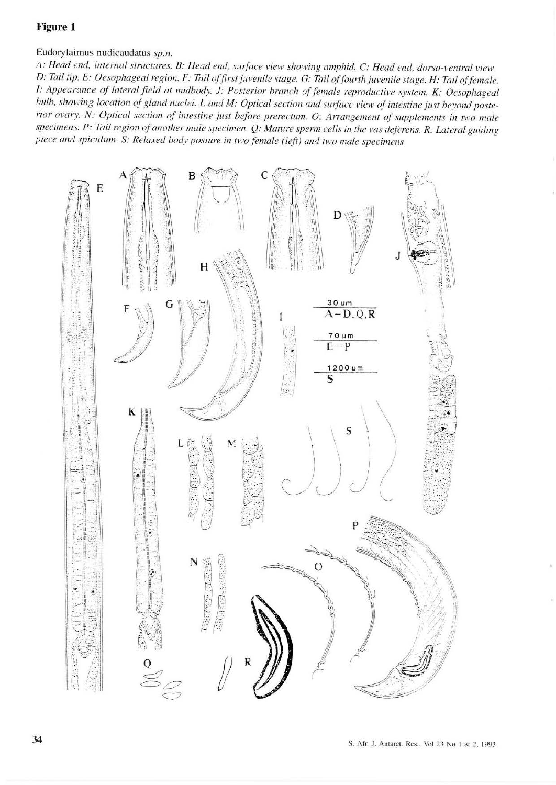#### Figure 1

Eudorylaimus nudicaudatus sp.n.

A: Head end, internal structures. B: Head end, surface view showing amphid. C: Head end, dorso-ventral view. D: Tail tip. E: Oesophageal region. F: Tail of first juvenile stage. G: Tail of fourth juvenile stage. H: Tail of female. I: Appearance of lateral field at midbody. J: Posterior branch of female reproductive system. K: Oesophageal bulb, showing location of gland nuclei. L and M: Optical section and surface view of intestine just beyond posterior ovary. N: Optical section of intestine just before prerectum. O: Arrangement of supplements in two male specimens. P: Tail region of another male specimen. Q: Mature sperm cells in the vas deferens. R: Lateral guiding piece and spiculum. S: Relaxed body posture in two female (left) and two male specimens

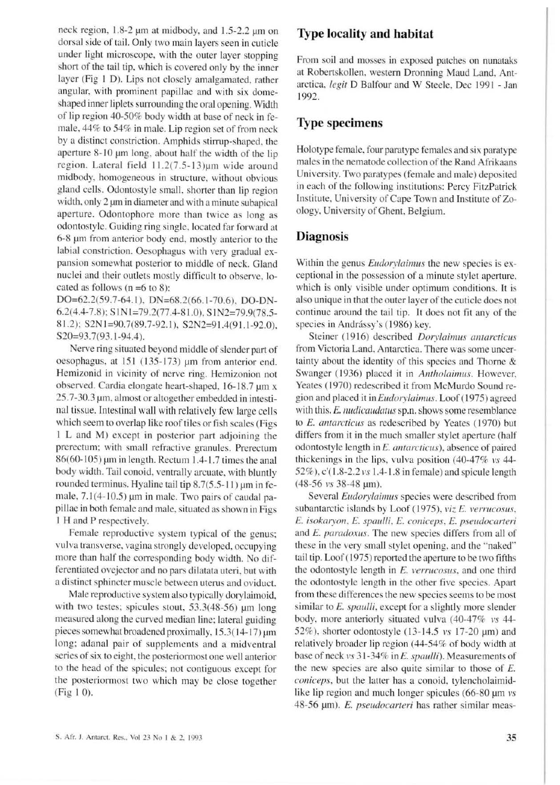neck region. 1.8-2 µm at midbody. and 1.5-2.2 µm on dorsal side of tail. Only two main layers seen in cuticle under light microscope. with the outer layer stopping short of the tail tip, which is covered only by the inner layer (Fig I D). Lips not closely amalgamated, rather angular, with prominent papillae and with six domeshaped inner liplets surrounding the oral opening. Width of lip region 40-50% body width at base of neck in female,  $44\%$  to  $54\%$  in male. Lip region set of from neck by a distinct constriction. Arnphids stirrup-shaped. the aperture 8-10 µm long, about half the width of the lip region. Lateral field  $11.2(7.5-13)\mu m$  wide around midbody, homogeneous in structure. without obvious gland cells. Odontostyle small. shorter than lip region width, only 2  $\mu$ m in diameter and with a minute subapical aperture. Odontophore more than twice as long as odontostyle. Guiding ring single, located far forward at 6-8 µm from anterior body end. mostly anterior to the labial constriction. Oesophagus with very gradual expansion somewhat posterior to middle of neck. Gland nuclei and their outlets mostly difficult to observe. located as follows ( $n = 6$  to 8):

DO=62.2(59.7-64.1), DN=68.2(66.1-70.6), DO-DN-6.2(4.4-7.8); S 1 N 1 = 79.2(77.4-8 1.0), S 1 N 2 = 79.9(78.5-81.2); S2N1=90.7(89.7-92.1), S2N2=91.4(91.1-92.0), S20=93.7(93.1-94.4).

Nerve ring situated beyond middle of slender part of oesophagus, at 151 (135-173) µm from anterior end. Hemizonid in vicinity of nerve ring. Hemizonion not observed. Cardia elongate heart-shaped. 16- 18.7 µm x 25.7-30.3 µm. almost or altogether embedded in intestinal tissue. Intestinal wall with relatively few large cells which seem to overlap like roof tiles or fish scales (Figs I L and M) except in posterior part adjoining the prerectum: with small refractive granules. Prerectum  $86(60-105)$  µm in length. Rectum 1.4-1.7 times the anal body width. Tail conoid. ventrally arcuate. with bluntly rounded terminus. Hyaline tail tip  $8.7(5.5-11)$  µm in female,  $7.1(4-10.5)$  µm in male. Two pairs of caudal papillae in both female and male. situated as shown in Figs I H and P respectively.

Female reproductive system typical of the genus; vulva transverse, vagina strongly developed, occupying more than half the corresponding body width. No differentiated ovejector and no pars dilatata uteri, but with a distinct sphincter muscle between uterus and oviduct.

Male reproductive system also typically dorylaimoid. with two testes; spicules stout, 53.3(48-56) µm long measured along the curved median line: lateral guiding pieces somewhat broadened proximally,  $15.3(14-17)$  µm long: adanal pair of supplements and a midventral series of six to eight, the posteriormost one well anterior to the head of the spicules: not contiguous except for the posteriormost two which may be close together (Fig I 0).

#### **Type locality and habitat**

From soil and mosses in exposed patches on nunataks at Robertskollen, western Dronning Maud Land, Antarctica, *legit* D Balfour and W Steele, Dec 1991 - Jan 1992.

#### **Type specimens**

Holotype female. four paratype females and six paratype males in the nematode collection of the Rand Afrikaans Uni versity. Two paratypes (female and male) deposited in each of the following institutions: Percy FitzPatrick Institute, University of Cape Town and Institute of Zoology. University of Ghent. Belgium.

#### **Diagnosis**

Within the genus *Eudorylaimus* the new species is exceptional in the possession of a minute stylet aperture, which is only visible under optimum conditions. It is also unique in that the outer layer of the cuticle does not continue around the tail tip. It does not fit any of the species in Andrássy's (1986) key.

Steiner (1916) described *Dorylaimus antarcticus* from Victoria Land, Antarctica. There was some uncertainty about the identity of this species and Thorne & Swanger (1936) placed it in *Antholaimus*. However, Yeates (1970) redescribed it from McMurdo Sound region and placed it in *Eudorylaimus.* Loof ( 1975) agreed with this. E. *nudicaudatus* sp.n. shows some resemblance to *E. antarcticus* as redescribed by Yeates (1970) but differs from it in the much smaller stylet aperture (half odontostyle length in £. *cmtarcticus),* absence of paired thickenings in the lips. vulva position (40-47% vs 44- 52%). c'( 1.8-2.2 *1•s* 1.4- 1 .8 in female) and spicule length  $(48-56 \text{ vs } 38-48 \text{ µm}).$ 

Several *Eudorylaimus* species were described from subantarctic islands by Loof (1975), *viz E. verrucosus*, £. *isokaryon.* E. *spaulli.* E. *coniceps.* £. *pseudocarteri*  and E. paradoxus. The new species differs from all of these in the very small stylet opening, and the '"naked'' tail tip. Loof (1975) reported the aperture to be two fifths the odontostyle length in E. *verrucosus*, and one third the odontostyle length in the other five species. Apart from these differences the new species seems to be most similar to£. *spaulli.* except for a slightly more slender body, more anteriorly situated vulva  $(40-47\% \text{ vs } 44-$ 52%), shorter odontostyle (13-14.5  $vs$  17-20  $\mu$ m) and relatively broader lip region (44-54% of body width at base of neck 1•s 31-34% in£. *spaulli).* Measurements of the new species are also quite similar to those of  $E$ . *coniceps*, but the latter has a conoid, tylencholaimidlike lip region and much longer spicules (66-80 µm vs 48-56 µm). £. *pseudocarteri* has rather similar meas